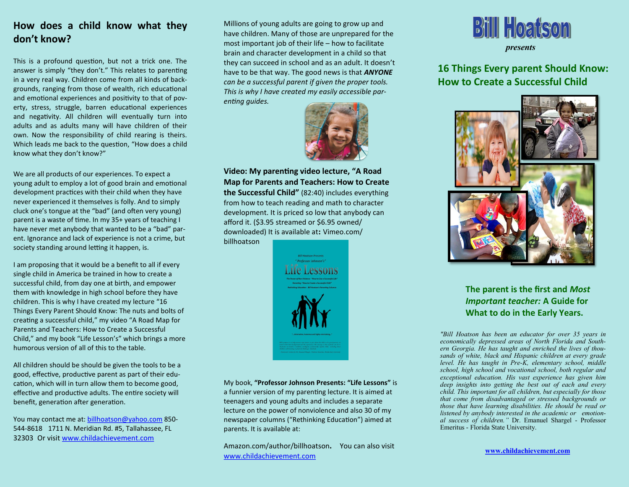# **How does a child know what they don't know?**

This is a profound question, but not a trick one. The answer is simply "they don't." This relates to parenting in a very real way. Children come from all kinds of backgrounds, ranging from those of wealth, rich educational and emotional experiences and positivity to that of poverty, stress, struggle, barren educational experiences and negativity. All children will eventually turn into adults and as adults many will have children of their own. Now the responsibility of child rearing is theirs. Which leads me back to the question, "How does a child know what they don't know?"

We are all products of our experiences. To expect a young adult to employ a lot of good brain and emotional development practices with their child when they have never experienced it themselves is folly. And to simply cluck one's tongue at the "bad" (and often very young) parent is a waste of time. In my 35+ years of teaching I have never met anybody that wanted to be a "bad" parent. Ignorance and lack of experience is not a crime, but society standing around letting it happen, is.

I am proposing that it would be a benefit to all if every single child in America be trained in how to create a successful child, from day one at birth, and empower them with knowledge in high school before they have children. This is why I have created my lecture "16 Things Every Parent Should Know: The nuts and bolts of creating a successful child," my video "A Road Map for Parents and Teachers: How to Create a Successful Child," and my book "Life Lesson's" which brings a more humorous version of all of this to the table.

All children should be should be given the tools to be a good, effective, productive parent as part of their education, which will in turn allow them to become good, effective and productive adults. The entire society will benefit, generation after generation.

You may contact me at: [billhoatson@yahoo.com](mailto:billhoatson@yahoo.com) 850- 544-86181711 N. Meridian Rd. #5, Tallahassee, FL 32303Or visit [www.childachievement.com](http://www.childachievement.com)

Millions of young adults are going to grow up and have children. Many of those are unprepared for the most important job of their life – how to facilitate brain and character development in a child so that they can succeed in school and as an adult. It doesn't have to be that way. The good news is that *ANYONE can be a successful parent if given the proper tools. This is why I have created my easily accessible parenting guides.*



**Video: My parenting video lecture, "A Road Map for Parents and Teachers: How to Create the Successful Child"** (82:40) includes everything from how to teach reading and math to character development. It is priced so low that anybody can afford it. (\$3.95 streamed or \$6.95 owned/ downloaded) It is available at**:** Vimeo.com/ billhoatson



My book, **"Professor Johnson Presents: "Life Lessons"** is a funnier version of my parenting lecture. It is aimed at teenagers and young adults and includes a separate lecture on the power of nonviolence and also 30 of my newspaper columns ("Rethinking Education") aimed at parents. It is available at:

Amazon.com/author/billhoatson**.** You can also visit [www.childachievement.com](http://www.childachievement.com)



# **16 Things Every parent Should Know: How to Create a Successful Child**



## **The parent is the first and** *Most Important teacher:* **A Guide for What to do in the Early Years.**

*"Bill Hoatson has been an educator for over 35 years in economically depressed areas of North Florida and Southern Georgia. He has taught and enriched the lives of thousands of white, black and Hispanic children at every grade level. He has taught in Pre-K, elementary school, middle school, high school and vocational school, both regular and exceptional education. His vast experience has given him deep insights into getting the best out of each and every child. This important for all children, but especially for those that come from disadvantaged or stressed backgrounds or those that have learning disabilities. He should be read or listened by anybody interested in the academic or emotional success of children."* Dr. Emanuel Shargel - Professor Emeritus - Florida State University.